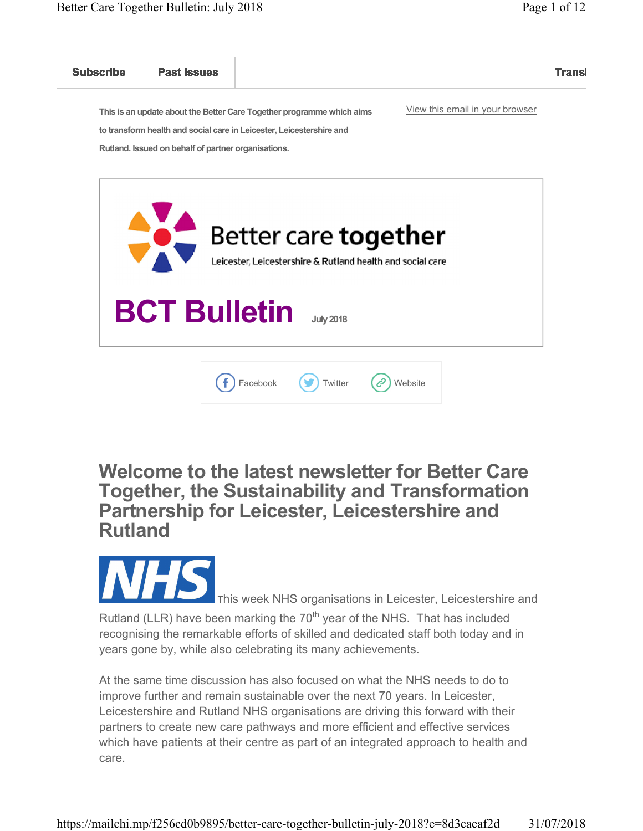

Welcome to the latest newsletter for Better Care Together, the Sustainability and Transformation Partnership for Leicester, Leicestershire and Rutland



At the same time discussion has also focused on what the NHS needs to do to improve further and remain sustainable over the next 70 years. In Leicester, Leicestershire and Rutland NHS organisations are driving this forward with their partners to create new care pathways and more efficient and effective services which have patients at their centre as part of an integrated approach to health and care.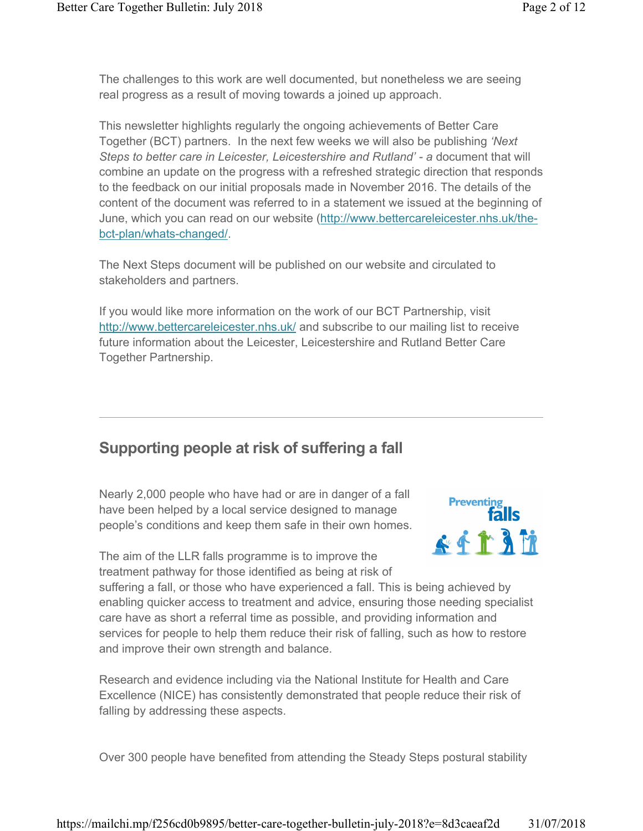The challenges to this work are well documented, but nonetheless we are seeing real progress as a result of moving towards a joined up approach.

This newsletter highlights regularly the ongoing achievements of Better Care Together (BCT) partners. In the next few weeks we will also be publishing 'Next Steps to better care in Leicester, Leicestershire and Rutland' - a document that will combine an update on the progress with a refreshed strategic direction that responds to the feedback on our initial proposals made in November 2016. The details of the content of the document was referred to in a statement we issued at the beginning of June, which you can read on our website (http://www.bettercareleicester.nhs.uk/thebct-plan/whats-changed/.

The Next Steps document will be published on our website and circulated to stakeholders and partners.

If you would like more information on the work of our BCT Partnership, visit http://www.bettercareleicester.nhs.uk/ and subscribe to our mailing list to receive future information about the Leicester, Leicestershire and Rutland Better Care Together Partnership.

#### Supporting people at risk of suffering a fall

Nearly 2,000 people who have had or are in danger of a fall have been helped by a local service designed to manage people's conditions and keep them safe in their own homes.

The aim of the LLR falls programme is to improve the treatment pathway for those identified as being at risk of



suffering a fall, or those who have experienced a fall. This is being achieved by enabling quicker access to treatment and advice, ensuring those needing specialist care have as short a referral time as possible, and providing information and services for people to help them reduce their risk of falling, such as how to restore and improve their own strength and balance.

Research and evidence including via the National Institute for Health and Care Excellence (NICE) has consistently demonstrated that people reduce their risk of falling by addressing these aspects.

Over 300 people have benefited from attending the Steady Steps postural stability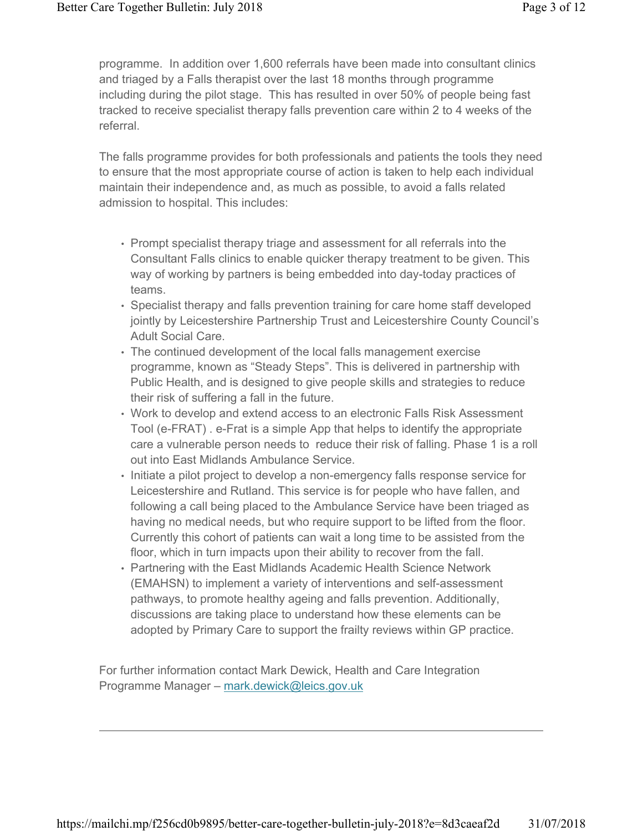programme. In addition over 1,600 referrals have been made into consultant clinics and triaged by a Falls therapist over the last 18 months through programme including during the pilot stage. This has resulted in over 50% of people being fast tracked to receive specialist therapy falls prevention care within 2 to 4 weeks of the referral.

The falls programme provides for both professionals and patients the tools they need to ensure that the most appropriate course of action is taken to help each individual maintain their independence and, as much as possible, to avoid a falls related admission to hospital. This includes:

- Prompt specialist therapy triage and assessment for all referrals into the Consultant Falls clinics to enable quicker therapy treatment to be given. This way of working by partners is being embedded into day-today practices of teams.
- Specialist therapy and falls prevention training for care home staff developed jointly by Leicestershire Partnership Trust and Leicestershire County Council's Adult Social Care.
- The continued development of the local falls management exercise programme, known as "Steady Steps". This is delivered in partnership with Public Health, and is designed to give people skills and strategies to reduce their risk of suffering a fall in the future.
- Work to develop and extend access to an electronic Falls Risk Assessment Tool (e-FRAT) . e-Frat is a simple App that helps to identify the appropriate care a vulnerable person needs to reduce their risk of falling. Phase 1 is a roll out into East Midlands Ambulance Service.
- Initiate a pilot project to develop a non-emergency falls response service for Leicestershire and Rutland. This service is for people who have fallen, and following a call being placed to the Ambulance Service have been triaged as having no medical needs, but who require support to be lifted from the floor. Currently this cohort of patients can wait a long time to be assisted from the floor, which in turn impacts upon their ability to recover from the fall.
- Partnering with the East Midlands Academic Health Science Network (EMAHSN) to implement a variety of interventions and self-assessment pathways, to promote healthy ageing and falls prevention. Additionally, discussions are taking place to understand how these elements can be adopted by Primary Care to support the frailty reviews within GP practice.

For further information contact Mark Dewick, Health and Care Integration Programme Manager – mark.dewick@leics.gov.uk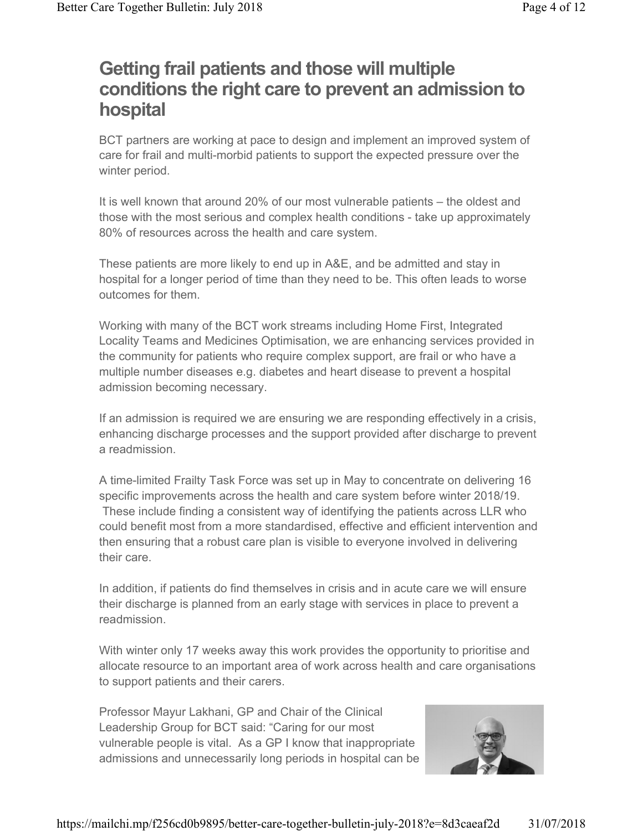# Getting frail patients and those will multiple conditions the right care to prevent an admission to hospital

BCT partners are working at pace to design and implement an improved system of care for frail and multi-morbid patients to support the expected pressure over the winter period.

It is well known that around 20% of our most vulnerable patients – the oldest and those with the most serious and complex health conditions - take up approximately 80% of resources across the health and care system.

These patients are more likely to end up in A&E, and be admitted and stay in hospital for a longer period of time than they need to be. This often leads to worse outcomes for them.

Working with many of the BCT work streams including Home First, Integrated Locality Teams and Medicines Optimisation, we are enhancing services provided in the community for patients who require complex support, are frail or who have a multiple number diseases e.g. diabetes and heart disease to prevent a hospital admission becoming necessary.

If an admission is required we are ensuring we are responding effectively in a crisis, enhancing discharge processes and the support provided after discharge to prevent a readmission.

A time-limited Frailty Task Force was set up in May to concentrate on delivering 16 specific improvements across the health and care system before winter 2018/19. These include finding a consistent way of identifying the patients across LLR who could benefit most from a more standardised, effective and efficient intervention and then ensuring that a robust care plan is visible to everyone involved in delivering their care.

In addition, if patients do find themselves in crisis and in acute care we will ensure their discharge is planned from an early stage with services in place to prevent a readmission.

With winter only 17 weeks away this work provides the opportunity to prioritise and allocate resource to an important area of work across health and care organisations to support patients and their carers.

Professor Mayur Lakhani, GP and Chair of the Clinical Leadership Group for BCT said: "Caring for our most vulnerable people is vital. As a GP I know that inappropriate admissions and unnecessarily long periods in hospital can be

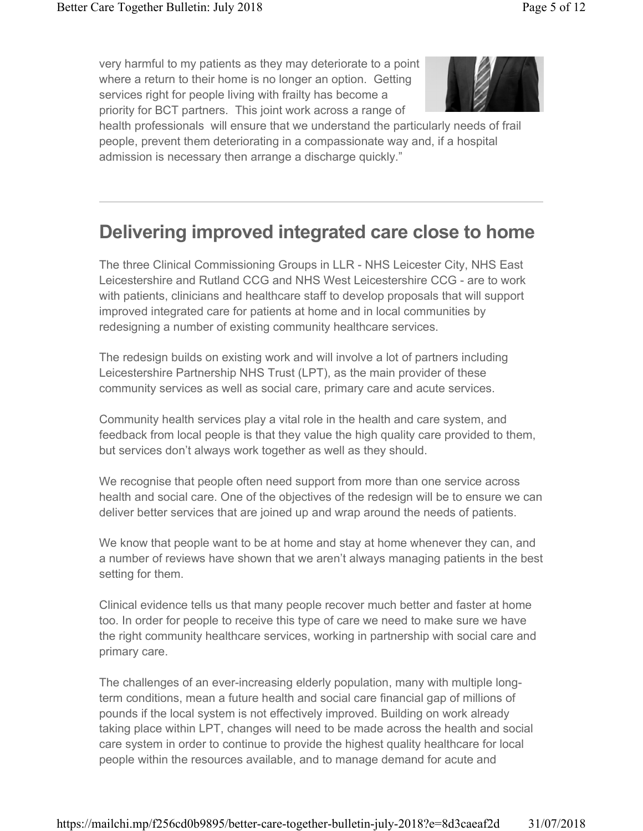very harmful to my patients as they may deteriorate to a point where a return to their home is no longer an option. Getting services right for people living with frailty has become a priority for BCT partners. This joint work across a range of



health professionals will ensure that we understand the particularly needs of frail people, prevent them deteriorating in a compassionate way and, if a hospital admission is necessary then arrange a discharge quickly."

# Delivering improved integrated care close to home

The three Clinical Commissioning Groups in LLR - NHS Leicester City, NHS East Leicestershire and Rutland CCG and NHS West Leicestershire CCG - are to work with patients, clinicians and healthcare staff to develop proposals that will support improved integrated care for patients at home and in local communities by redesigning a number of existing community healthcare services.

The redesign builds on existing work and will involve a lot of partners including Leicestershire Partnership NHS Trust (LPT), as the main provider of these community services as well as social care, primary care and acute services.

Community health services play a vital role in the health and care system, and feedback from local people is that they value the high quality care provided to them, but services don't always work together as well as they should.

We recognise that people often need support from more than one service across health and social care. One of the objectives of the redesign will be to ensure we can deliver better services that are joined up and wrap around the needs of patients.

We know that people want to be at home and stay at home whenever they can, and a number of reviews have shown that we aren't always managing patients in the best setting for them.

Clinical evidence tells us that many people recover much better and faster at home too. In order for people to receive this type of care we need to make sure we have the right community healthcare services, working in partnership with social care and primary care.

The challenges of an ever-increasing elderly population, many with multiple longterm conditions, mean a future health and social care financial gap of millions of pounds if the local system is not effectively improved. Building on work already taking place within LPT, changes will need to be made across the health and social care system in order to continue to provide the highest quality healthcare for local people within the resources available, and to manage demand for acute and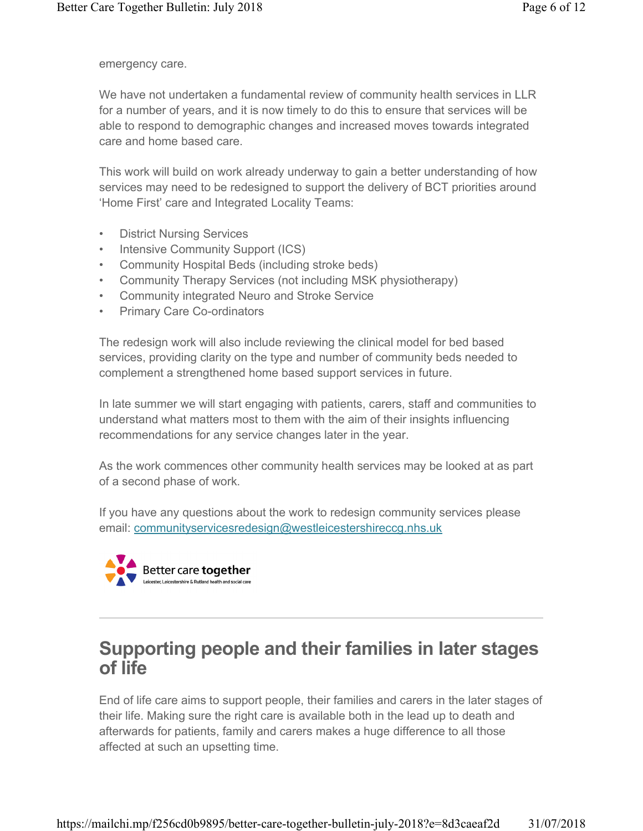emergency care.

We have not undertaken a fundamental review of community health services in LLR for a number of years, and it is now timely to do this to ensure that services will be able to respond to demographic changes and increased moves towards integrated care and home based care.

This work will build on work already underway to gain a better understanding of how services may need to be redesigned to support the delivery of BCT priorities around 'Home First' care and Integrated Locality Teams:

- District Nursing Services
- Intensive Community Support (ICS)
- Community Hospital Beds (including stroke beds)
- Community Therapy Services (not including MSK physiotherapy)
- Community integrated Neuro and Stroke Service
- Primary Care Co-ordinators

The redesign work will also include reviewing the clinical model for bed based services, providing clarity on the type and number of community beds needed to complement a strengthened home based support services in future.

In late summer we will start engaging with patients, carers, staff and communities to understand what matters most to them with the aim of their insights influencing recommendations for any service changes later in the year.

As the work commences other community health services may be looked at as part of a second phase of work.

If you have any questions about the work to redesign community services please email: communityservicesredesign@westleicestershireccg.nhs.uk



## Supporting people and their families in later stages of life

End of life care aims to support people, their families and carers in the later stages of their life. Making sure the right care is available both in the lead up to death and afterwards for patients, family and carers makes a huge difference to all those affected at such an upsetting time.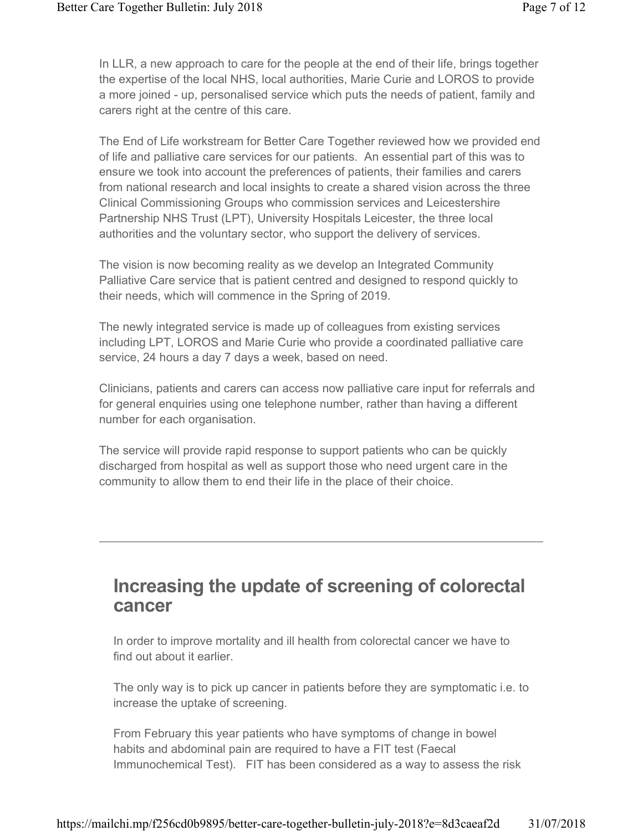In LLR, a new approach to care for the people at the end of their life, brings together the expertise of the local NHS, local authorities, Marie Curie and LOROS to provide a more joined - up, personalised service which puts the needs of patient, family and carers right at the centre of this care.

The End of Life workstream for Better Care Together reviewed how we provided end of life and palliative care services for our patients. An essential part of this was to ensure we took into account the preferences of patients, their families and carers from national research and local insights to create a shared vision across the three Clinical Commissioning Groups who commission services and Leicestershire Partnership NHS Trust (LPT), University Hospitals Leicester, the three local authorities and the voluntary sector, who support the delivery of services.

The vision is now becoming reality as we develop an Integrated Community Palliative Care service that is patient centred and designed to respond quickly to their needs, which will commence in the Spring of 2019.

The newly integrated service is made up of colleagues from existing services including LPT, LOROS and Marie Curie who provide a coordinated palliative care service, 24 hours a day 7 days a week, based on need.

Clinicians, patients and carers can access now palliative care input for referrals and for general enquiries using one telephone number, rather than having a different number for each organisation.

The service will provide rapid response to support patients who can be quickly discharged from hospital as well as support those who need urgent care in the community to allow them to end their life in the place of their choice.

### Increasing the update of screening of colorectal cancer

In order to improve mortality and ill health from colorectal cancer we have to find out about it earlier.

The only way is to pick up cancer in patients before they are symptomatic i.e. to increase the uptake of screening.

From February this year patients who have symptoms of change in bowel habits and abdominal pain are required to have a FIT test (Faecal Immunochemical Test). FIT has been considered as a way to assess the risk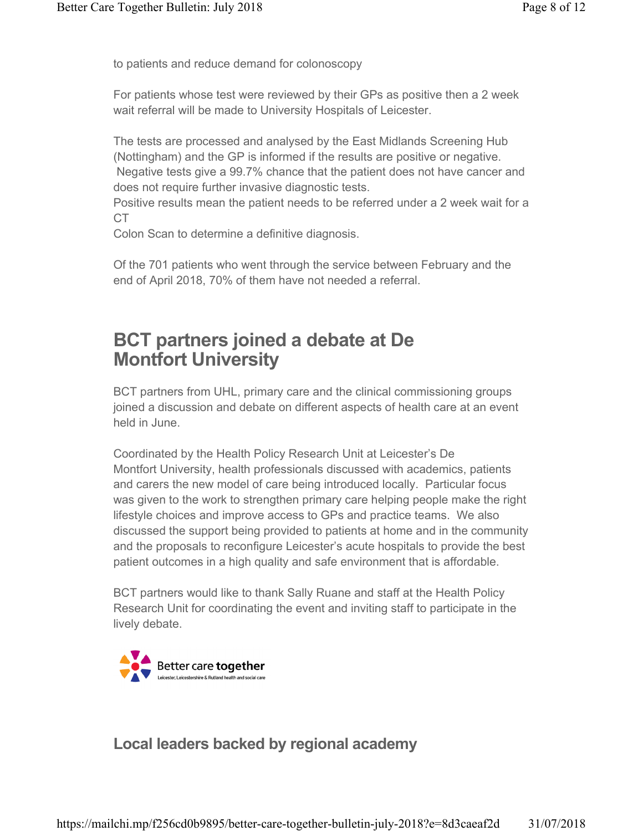to patients and reduce demand for colonoscopy

For patients whose test were reviewed by their GPs as positive then a 2 week wait referral will be made to University Hospitals of Leicester.

The tests are processed and analysed by the East Midlands Screening Hub (Nottingham) and the GP is informed if the results are positive or negative. Negative tests give a 99.7% chance that the patient does not have cancer and does not require further invasive diagnostic tests.

Positive results mean the patient needs to be referred under a 2 week wait for a CT

Colon Scan to determine a definitive diagnosis.

Of the 701 patients who went through the service between February and the end of April 2018, 70% of them have not needed a referral.

# BCT partners joined a debate at De Montfort University

BCT partners from UHL, primary care and the clinical commissioning groups joined a discussion and debate on different aspects of health care at an event held in June.

Coordinated by the Health Policy Research Unit at Leicester's De Montfort University, health professionals discussed with academics, patients and carers the new model of care being introduced locally. Particular focus was given to the work to strengthen primary care helping people make the right lifestyle choices and improve access to GPs and practice teams. We also discussed the support being provided to patients at home and in the community and the proposals to reconfigure Leicester's acute hospitals to provide the best patient outcomes in a high quality and safe environment that is affordable.

BCT partners would like to thank Sally Ruane and staff at the Health Policy Research Unit for coordinating the event and inviting staff to participate in the lively debate.



Local leaders backed by regional academy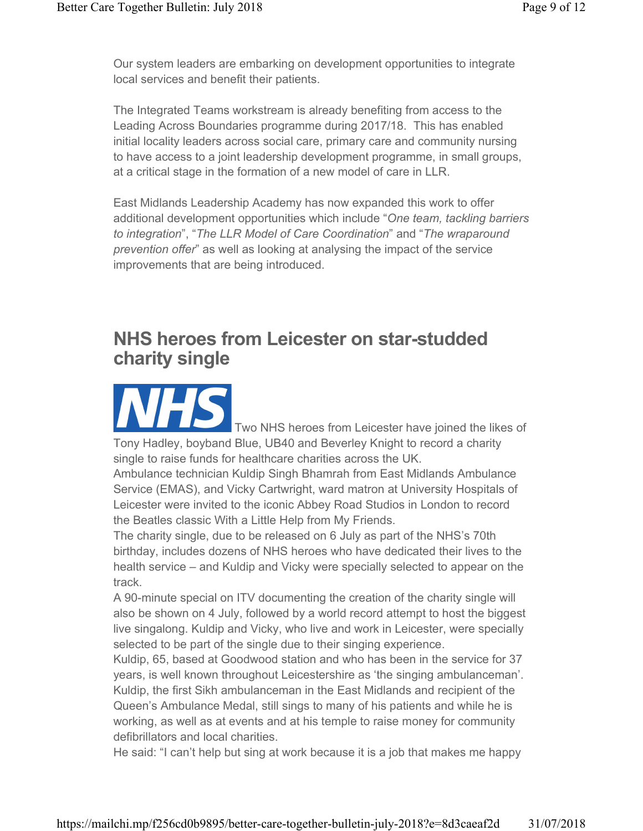Our system leaders are embarking on development opportunities to integrate local services and benefit their patients.

The Integrated Teams workstream is already benefiting from access to the Leading Across Boundaries programme during 2017/18. This has enabled initial locality leaders across social care, primary care and community nursing to have access to a joint leadership development programme, in small groups, at a critical stage in the formation of a new model of care in LLR.

East Midlands Leadership Academy has now expanded this work to offer additional development opportunities which include "One team, tackling barriers to integration", "The LLR Model of Care Coordination" and "The wraparound prevention offer" as well as looking at analysing the impact of the service improvements that are being introduced.

# NHS heroes from Leicester on star-studded charity single

Two NHS heroes from Leicester have joined the likes of Tony Hadley, boyband Blue, UB40 and Beverley Knight to record a charity single to raise funds for healthcare charities across the UK.

Ambulance technician Kuldip Singh Bhamrah from East Midlands Ambulance Service (EMAS), and Vicky Cartwright, ward matron at University Hospitals of Leicester were invited to the iconic Abbey Road Studios in London to record the Beatles classic With a Little Help from My Friends.

The charity single, due to be released on 6 July as part of the NHS's 70th birthday, includes dozens of NHS heroes who have dedicated their lives to the health service – and Kuldip and Vicky were specially selected to appear on the track.

A 90-minute special on ITV documenting the creation of the charity single will also be shown on 4 July, followed by a world record attempt to host the biggest live singalong. Kuldip and Vicky, who live and work in Leicester, were specially selected to be part of the single due to their singing experience.

Kuldip, 65, based at Goodwood station and who has been in the service for 37 years, is well known throughout Leicestershire as 'the singing ambulanceman'. Kuldip, the first Sikh ambulanceman in the East Midlands and recipient of the Queen's Ambulance Medal, still sings to many of his patients and while he is working, as well as at events and at his temple to raise money for community defibrillators and local charities.

He said: "I can't help but sing at work because it is a job that makes me happy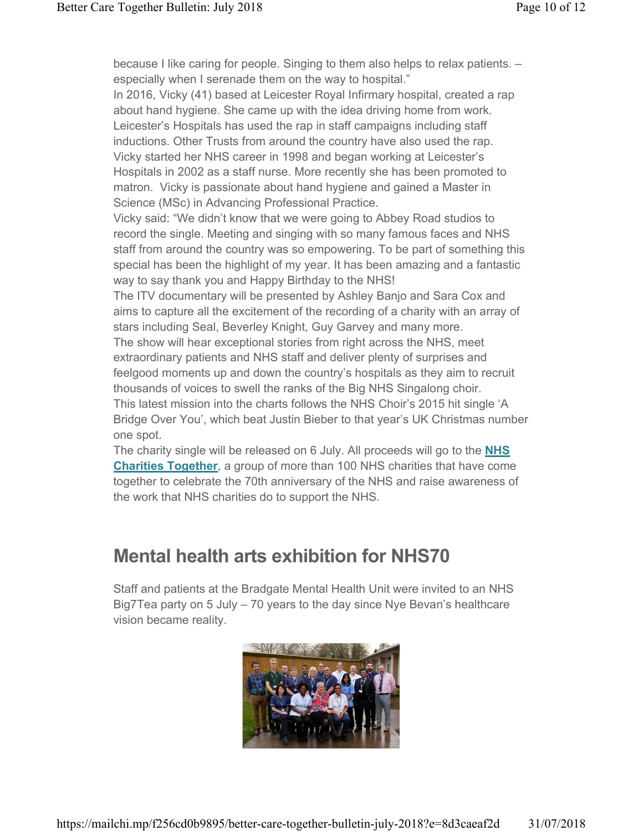because I like caring for people. Singing to them also helps to relax patients. – especially when I serenade them on the way to hospital."

In 2016, Vicky (41) based at Leicester Royal Infirmary hospital, created a rap about hand hygiene. She came up with the idea driving home from work. Leicester's Hospitals has used the rap in staff campaigns including staff inductions. Other Trusts from around the country have also used the rap. Vicky started her NHS career in 1998 and began working at Leicester's Hospitals in 2002 as a staff nurse. More recently she has been promoted to matron. Vicky is passionate about hand hygiene and gained a Master in Science (MSc) in Advancing Professional Practice.

Vicky said: "We didn't know that we were going to Abbey Road studios to record the single. Meeting and singing with so many famous faces and NHS staff from around the country was so empowering. To be part of something this special has been the highlight of my year. It has been amazing and a fantastic way to say thank you and Happy Birthday to the NHS!

The ITV documentary will be presented by Ashley Banjo and Sara Cox and aims to capture all the excitement of the recording of a charity with an array of stars including Seal, Beverley Knight, Guy Garvey and many more.

The show will hear exceptional stories from right across the NHS, meet extraordinary patients and NHS staff and deliver plenty of surprises and feelgood moments up and down the country's hospitals as they aim to recruit thousands of voices to swell the ranks of the Big NHS Singalong choir.

This latest mission into the charts follows the NHS Choir's 2015 hit single 'A Bridge Over You', which beat Justin Bieber to that year's UK Christmas number one spot.

The charity single will be released on 6 July. All proceeds will go to the NHS **Charities Together, a group of more than 100 NHS charities that have come** together to celebrate the 70th anniversary of the NHS and raise awareness of the work that NHS charities do to support the NHS.

# Mental health arts exhibition for NHS70

Staff and patients at the Bradgate Mental Health Unit were invited to an NHS Big7Tea party on 5 July – 70 years to the day since Nye Bevan's healthcare vision became reality.

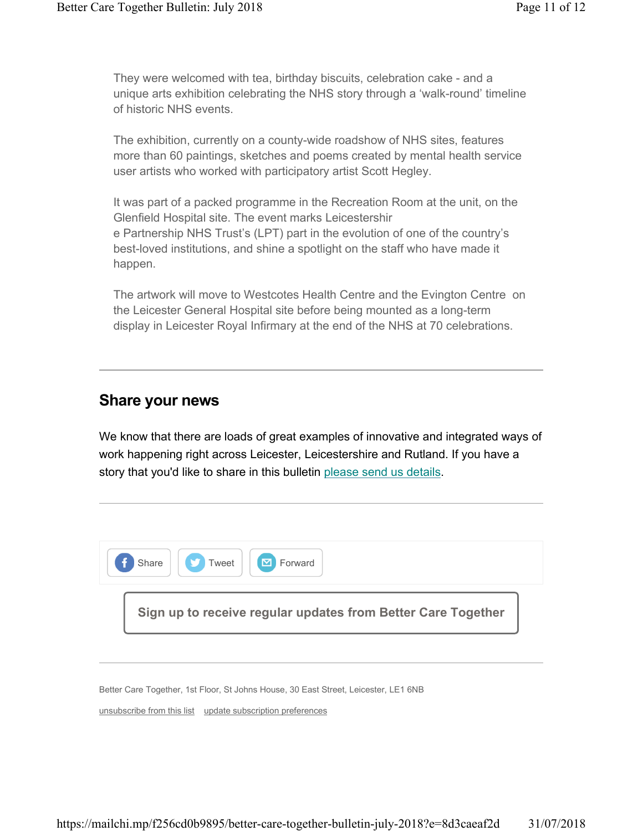They were welcomed with tea, birthday biscuits, celebration cake - and a unique arts exhibition celebrating the NHS story through a 'walk-round' timeline of historic NHS events.

The exhibition, currently on a county-wide roadshow of NHS sites, features more than 60 paintings, sketches and poems created by mental health service user artists who worked with participatory artist Scott Hegley.

It was part of a packed programme in the Recreation Room at the unit, on the Glenfield Hospital site. The event marks Leicestershir e Partnership NHS Trust's (LPT) part in the evolution of one of the country's best-loved institutions, and shine a spotlight on the staff who have made it happen.

The artwork will move to Westcotes Health Centre and the Evington Centre on the Leicester General Hospital site before being mounted as a long-term display in Leicester Royal Infirmary at the end of the NHS at 70 celebrations.

#### Share your news

We know that there are loads of great examples of innovative and integrated ways of work happening right across Leicester, Leicestershire and Rutland. If you have a story that you'd like to share in this bulletin please send us details.



Better Care Together, 1st Floor, St Johns House, 30 East Street, Leicester, LE1 6NB

unsubscribe from this list update subscription preferences